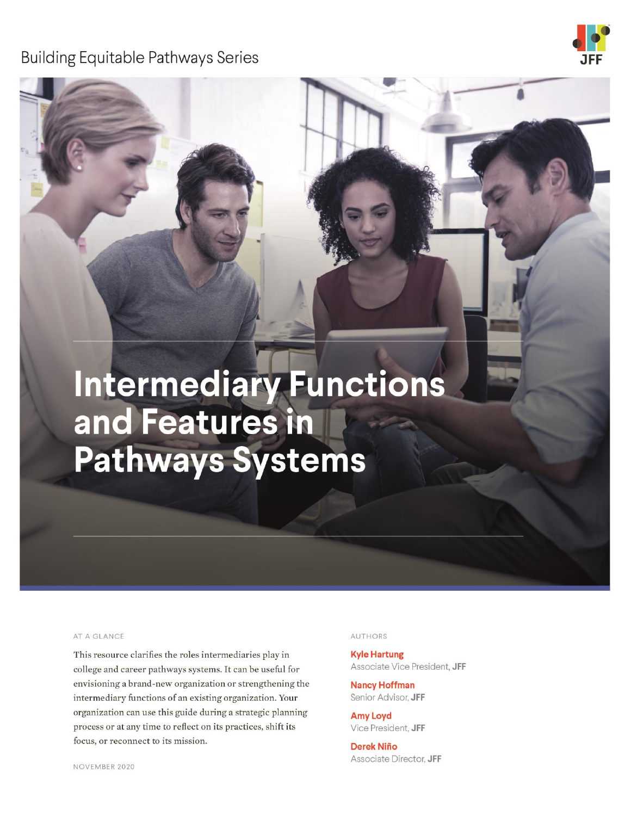**Building Equitable Pathways Series** 



# Intermediary Functions and Features in **Pathways Systems**

#### AT A GLANCE

This resource clarifies the roles intermediaries play in college and career pathways systems. It can be useful for envisioning a brand-new organization or strengthening the intermediary functions of an existing organization. Your organization can use this guide during a strategic planning process or at any time to reflect on its practices, shift its focus, or reconnect to its mission.

#### **AUTHORS**

**Kyle Hartung** Associate Vice President, JFF

**Nancy Hoffman** Senior Advisor, JFF

**Amy Loyd** Vice President, JFF

**Derek Niño** Associate Director, JFF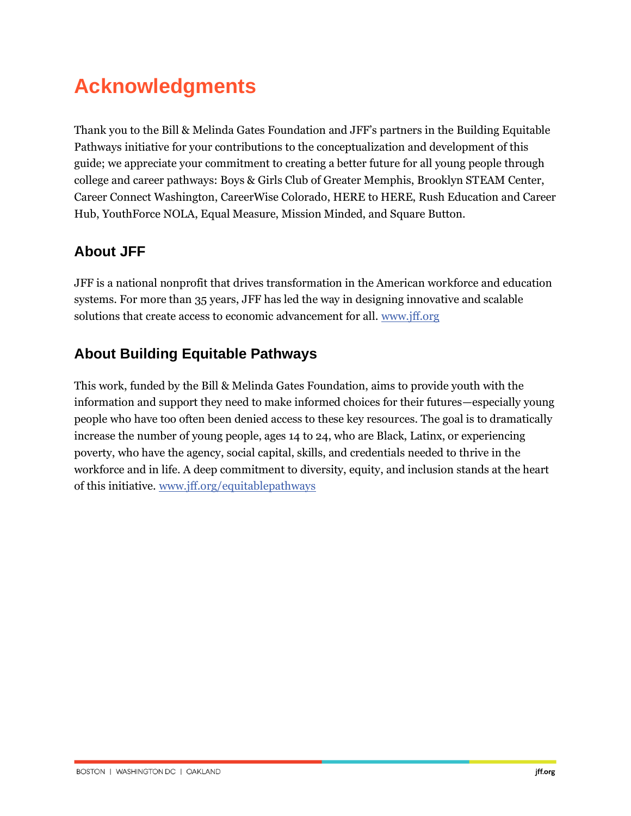## **Acknowledgments**

Thank you to the Bill & Melinda Gates Foundation and JFF's partners in the Building Equitable Pathways initiative for your contributions to the conceptualization and development of this guide; we appreciate your commitment to creating a better future for all young people through college and career pathways: Boys & Girls Club of Greater Memphis, Brooklyn STEAM Center, Career Connect Washington, CareerWise Colorado, HERE to HERE, Rush Education and Career Hub, YouthForce NOLA, Equal Measure, Mission Minded, and Square Button.

#### **About JFF**

JFF is a national nonprofit that drives transformation in the American workforce and education systems. For more than 35 years, JFF has led the way in designing innovative and scalable solutions that create access to economic advancement for all[. www.jff.org](https://www.jff.org/)

#### **About Building Equitable Pathways**

This work, funded by the Bill & Melinda Gates Foundation, aims to provide youth with the information and support they need to make informed choices for their futures—especially young people who have too often been denied access to these key resources. The goal is to dramatically increase the number of young people, ages 14 to 24, who are Black, Latinx, or experiencing poverty, who have the agency, social capital, skills, and credentials needed to thrive in the workforce and in life. A deep commitment to diversity, equity, and inclusion stands at the heart of this initiative. [www.jff.org/equitablepathways](http://www.jff.org/equitablepathways)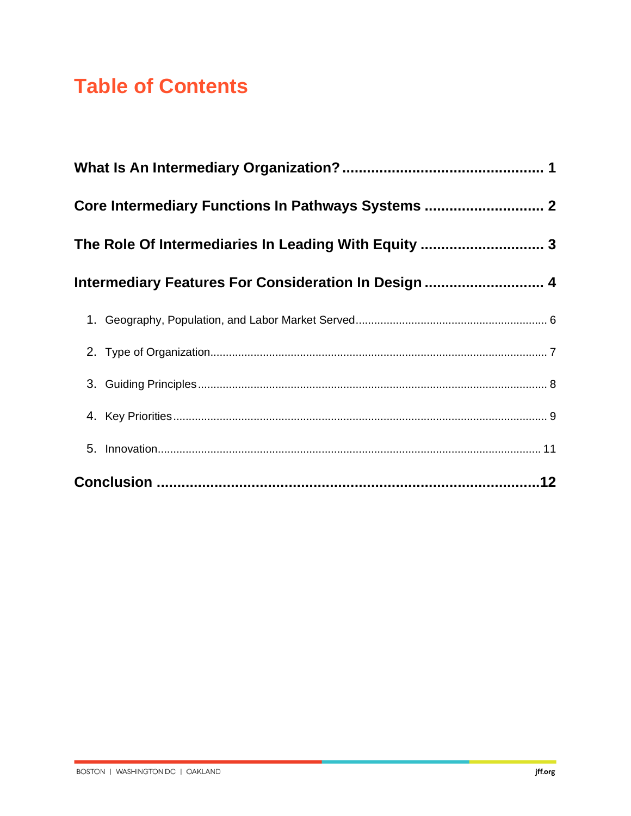## **Table of Contents**

| Core Intermediary Functions In Pathways Systems  2   |  |
|------------------------------------------------------|--|
| The Role Of Intermediaries In Leading With Equity  3 |  |
| Intermediary Features For Consideration In Design  4 |  |
|                                                      |  |
|                                                      |  |
|                                                      |  |
|                                                      |  |
|                                                      |  |
|                                                      |  |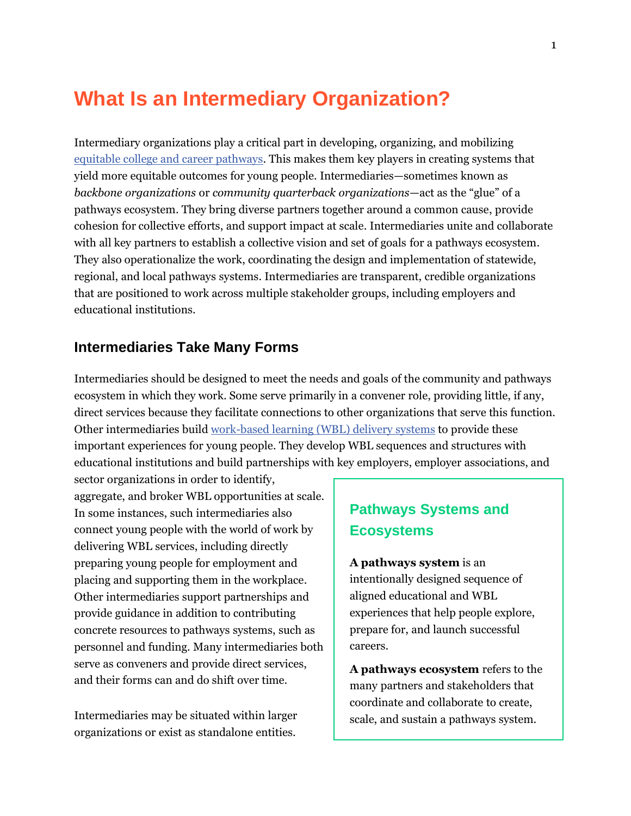### <span id="page-3-0"></span>**What Is an Intermediary Organization?**

Intermediary organizations play a critical part in developing, organizing, and mobilizing [equitable college and career pathways.](https://www.jff.org/what-we-do/impact-stories/building-equitable-pathways/?utm_source=JFF&utm_medium=Resource&utm_campaign=BEP) This makes them key players in creating systems that yield more equitable outcomes for young people. Intermediaries—sometimes known as *backbone organizations* or *community quarterback organizations*—act as the "glue" of a pathways ecosystem. They bring diverse partners together around a common cause, provide cohesion for collective efforts, and support impact at scale. Intermediaries unite and collaborate with all key partners to establish a collective vision and set of goals for a pathways ecosystem. They also operationalize the work, coordinating the design and implementation of statewide, regional, and local pathways systems. Intermediaries are transparent, credible organizations that are positioned to work across multiple stakeholder groups, including employers and educational institutions.

#### **Intermediaries Take Many Forms**

Intermediaries should be designed to meet the needs and goals of the community and pathways ecosystem in which they work. Some serve primarily in a convener role, providing little, if any, direct services because they facilitate connections to other organizations that serve this function. Other intermediaries buil[d work-based learning \(WBL\) delivery systems](https://www.jff.org/resources/work-based-learning-framework/) to provide these important experiences for young people. They develop WBL sequences and structures with educational institutions and build partnerships with key employers, employer associations, and

sector organizations in order to identify, aggregate, and broker WBL opportunities at scale. In some instances, such intermediaries also connect young people with the world of work by delivering WBL services, including directly preparing young people for employment and placing and supporting them in the workplace. Other intermediaries support partnerships and provide guidance in addition to contributing concrete resources to pathways systems, such as personnel and funding. Many intermediaries both serve as conveners and provide direct services, and their forms can and do shift over time.

Intermediaries may be situated within larger organizations or exist as standalone entities.

#### **Pathways Systems and Ecosystems**

**A pathways system** is an intentionally designed sequence of aligned educational and WBL experiences that help people explore, prepare for, and launch successful careers.

**A pathways ecosystem** refers to the many partners and stakeholders that coordinate and collaborate to create, scale, and sustain a pathways system.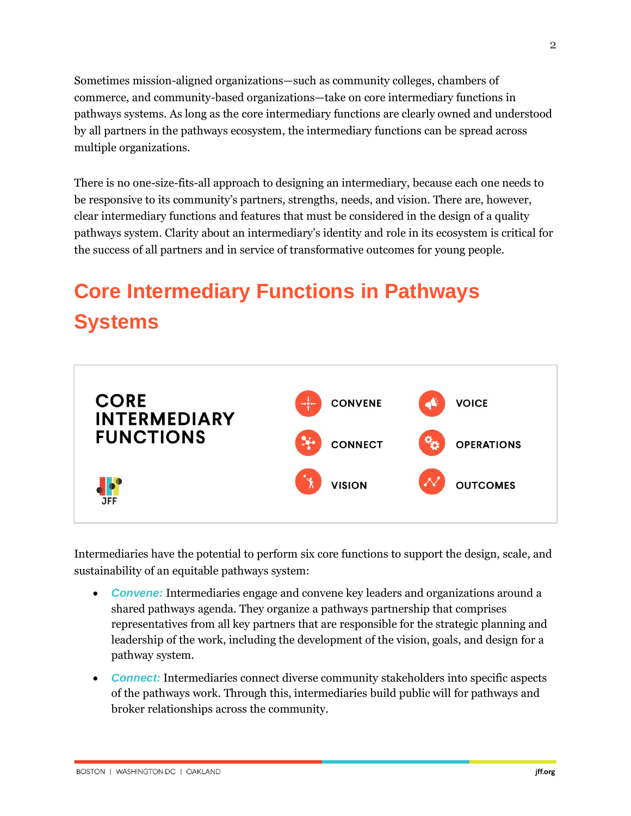Sometimes mission-aligned organizations—such as community colleges, chambers of commerce, and community-based organizations—take on core intermediary functions in pathways systems. As long as the core intermediary functions are clearly owned and understood by all partners in the pathways ecosystem, the intermediary functions can be spread across multiple organizations.

There is no one-size-fits-all approach to designing an intermediary, because each one needs to be responsive to its community's partners, strengths, needs, and vision. There are, however, clear intermediary functions and features that must be considered in the design of a quality pathways system. Clarity about an intermediary's identity and role in its ecosystem is critical for the success of all partners and in service of transformative outcomes for young people.

## <span id="page-4-0"></span>**Core Intermediary Functions in Pathways Systems**



Intermediaries have the potential to perform six core functions to support the design, scale, and sustainability of an equitable pathways system:

- *Convene:* Intermediaries engage and convene key leaders and organizations around a shared pathways agenda. They organize a pathways partnership that comprises representatives from all key partners that are responsible for the strategic planning and leadership of the work, including the development of the vision, goals, and design for a pathway system.
- *Connect:* Intermediaries connect diverse community stakeholders into specific aspects of the pathways work. Through this, intermediaries build public will for pathways and broker relationships across the community.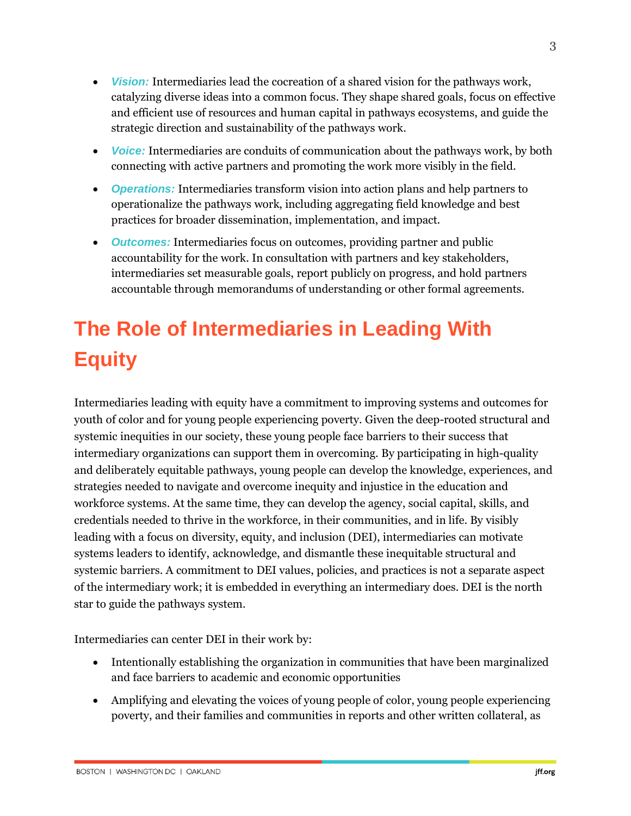3

- *Vision:* Intermediaries lead the cocreation of a shared vision for the pathways work, catalyzing diverse ideas into a common focus. They shape shared goals, focus on effective and efficient use of resources and human capital in pathways ecosystems, and guide the strategic direction and sustainability of the pathways work.
- *Voice:* Intermediaries are conduits of communication about the pathways work, by both connecting with active partners and promoting the work more visibly in the field.
- *Operations:* Intermediaries transform vision into action plans and help partners to operationalize the pathways work, including aggregating field knowledge and best practices for broader dissemination, implementation, and impact.
- *Outcomes:* Intermediaries focus on outcomes, providing partner and public accountability for the work. In consultation with partners and key stakeholders, intermediaries set measurable goals, report publicly on progress, and hold partners accountable through memorandums of understanding or other formal agreements.

## <span id="page-5-0"></span>**The Role of Intermediaries in Leading With Equity**

Intermediaries leading with equity have a commitment to improving systems and outcomes for youth of color and for young people experiencing poverty. Given the deep-rooted structural and systemic inequities in our society, these young people face barriers to their success that intermediary organizations can support them in overcoming. By participating in high-quality and deliberately equitable pathways, young people can develop the knowledge, experiences, and strategies needed to navigate and overcome inequity and injustice in the education and workforce systems. At the same time, they can develop the agency, social capital, skills, and credentials needed to thrive in the workforce, in their communities, and in life. By visibly leading with a focus on diversity, equity, and inclusion (DEI), intermediaries can motivate systems leaders to identify, acknowledge, and dismantle these inequitable structural and systemic barriers. A commitment to DEI values, policies, and practices is not a separate aspect of the intermediary work; it is embedded in everything an intermediary does. DEI is the north star to guide the pathways system.

Intermediaries can center DEI in their work by:

- Intentionally establishing the organization in communities that have been marginalized and face barriers to academic and economic opportunities
- Amplifying and elevating the voices of young people of color, young people experiencing poverty, and their families and communities in reports and other written collateral, as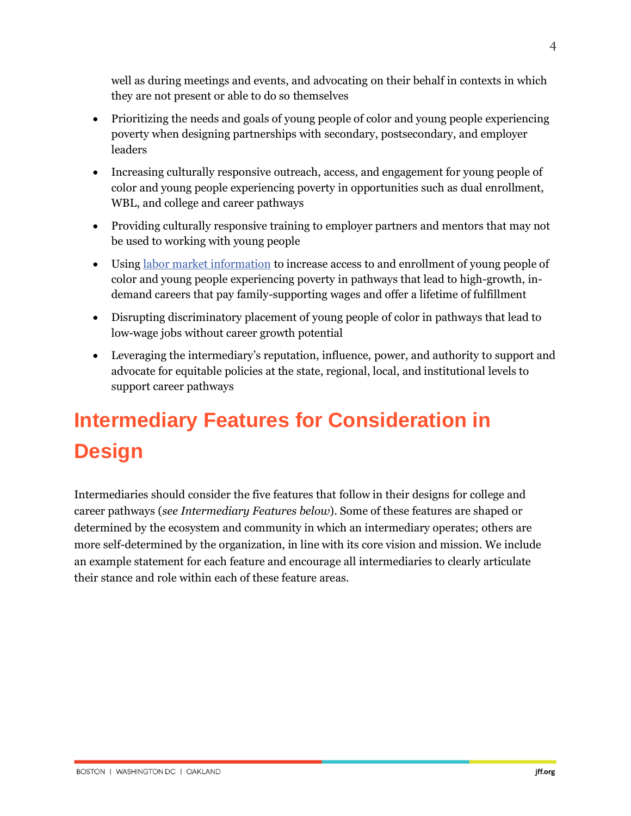well as during meetings and events, and advocating on their behalf in contexts in which they are not present or able to do so themselves

- Prioritizing the needs and goals of young people of color and young people experiencing poverty when designing partnerships with secondary, postsecondary, and employer leaders
- Increasing culturally responsive outreach, access, and engagement for young people of color and young people experiencing poverty in opportunities such as dual enrollment, WBL, and college and career pathways
- Providing culturally responsive training to employer partners and mentors that may not be used to working with young people
- Using [labor market information](https://www.youtube.com/watch?v=gmarMdWNDEI&feature=youtu.be) to increase access to and enrollment of young people of color and young people experiencing poverty in pathways that lead to high-growth, indemand careers that pay family-supporting wages and offer a lifetime of fulfillment
- Disrupting discriminatory placement of young people of color in pathways that lead to low-wage jobs without career growth potential
- Leveraging the intermediary's reputation, influence, power, and authority to support and advocate for equitable policies at the state, regional, local, and institutional levels to support career pathways

## <span id="page-6-0"></span>**Intermediary Features for Consideration in Design**

Intermediaries should consider the five features that follow in their designs for college and career pathways (*see Intermediary Features below*). Some of these features are shaped or determined by the ecosystem and community in which an intermediary operates; others are more self-determined by the organization, in line with its core vision and mission. We include an example statement for each feature and encourage all intermediaries to clearly articulate their stance and role within each of these feature areas.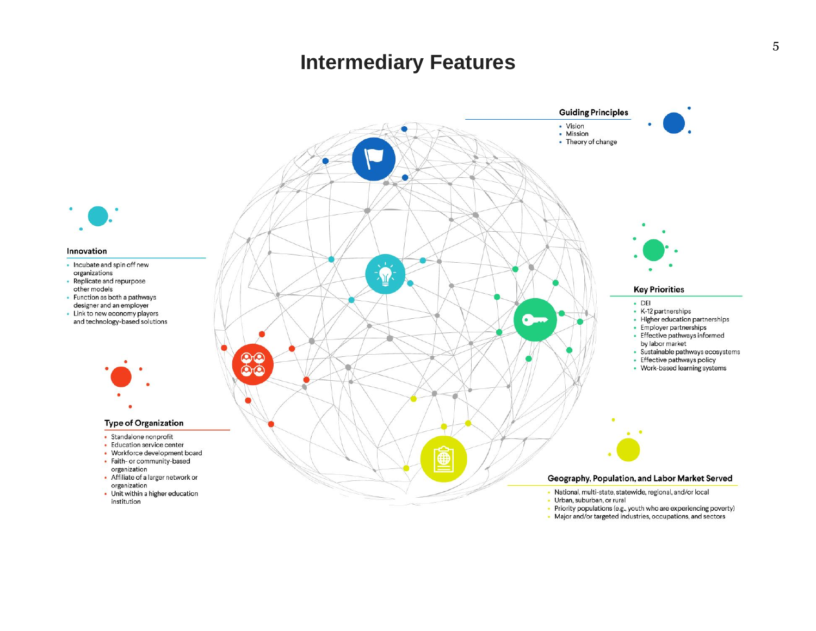### **Intermediary Features**



<span id="page-7-0"></span>• Major and/or targeted industries, occupations, and sectors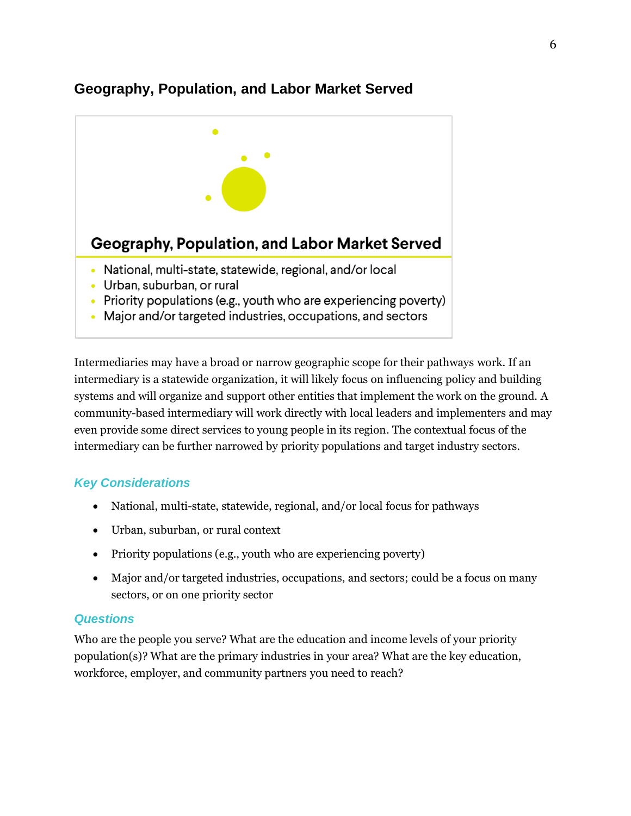#### **Geography, Population, and Labor Market Served**



Intermediaries may have a broad or narrow geographic scope for their pathways work. If an intermediary is a statewide organization, it will likely focus on influencing policy and building systems and will organize and support other entities that implement the work on the ground. A community-based intermediary will work directly with local leaders and implementers and may even provide some direct services to young people in its region. The contextual focus of the intermediary can be further narrowed by priority populations and target industry sectors.

#### *Key Considerations*

- National, multi-state, statewide, regional, and/or local focus for pathways
- Urban, suburban, or rural context
- Priority populations (e.g., youth who are experiencing poverty)
- Major and/or targeted industries, occupations, and sectors; could be a focus on many sectors, or on one priority sector

#### *Questions*

Who are the people you serve? What are the education and income levels of your priority population(s)? What are the primary industries in your area? What are the key education, workforce, employer, and community partners you need to reach?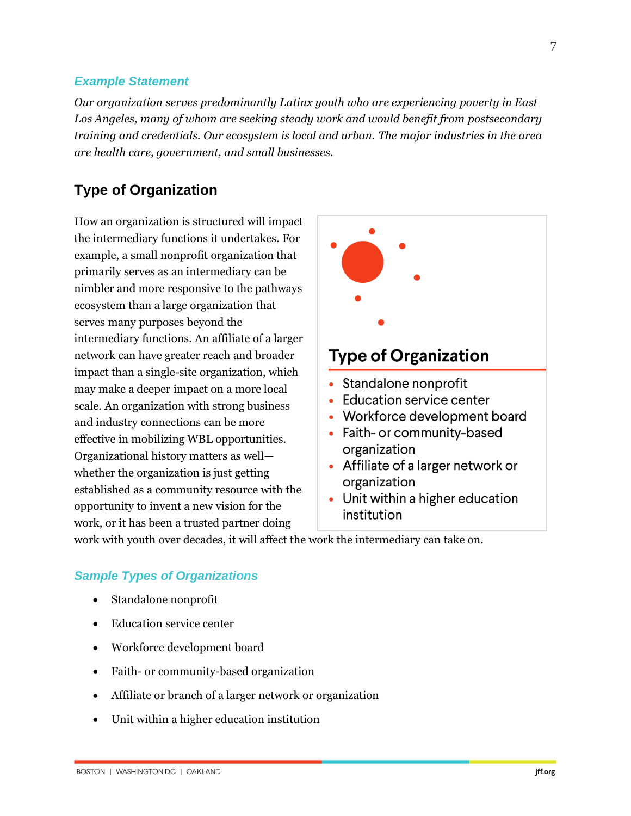#### *Example Statement*

*Our organization serves predominantly Latinx youth who are experiencing poverty in East Los Angeles, many of whom are seeking steady work and would benefit from postsecondary training and credentials. Our ecosystem is local and urban. The major industries in the area are health care, government, and small businesses.*

#### <span id="page-9-0"></span>**Type of Organization**

How an organization is structured will impact the intermediary functions it undertakes. For example, a small nonprofit organization that primarily serves as an intermediary can be nimbler and more responsive to the pathways ecosystem than a large organization that serves many purposes beyond the intermediary functions. An affiliate of a larger network can have greater reach and broader impact than a single-site organization, which may make a deeper impact on a more local scale. An organization with strong business and industry connections can be more effective in mobilizing WBL opportunities. Organizational history matters as well whether the organization is just getting established as a community resource with the opportunity to invent a new vision for the work, or it has been a trusted partner doing



work with youth over decades, it will affect the work the intermediary can take on.

#### *Sample Types of Organizations*

- Standalone nonprofit
- Education service center
- Workforce development board
- Faith- or community-based organization
- Affiliate or branch of a larger network or organization
- Unit within a higher education institution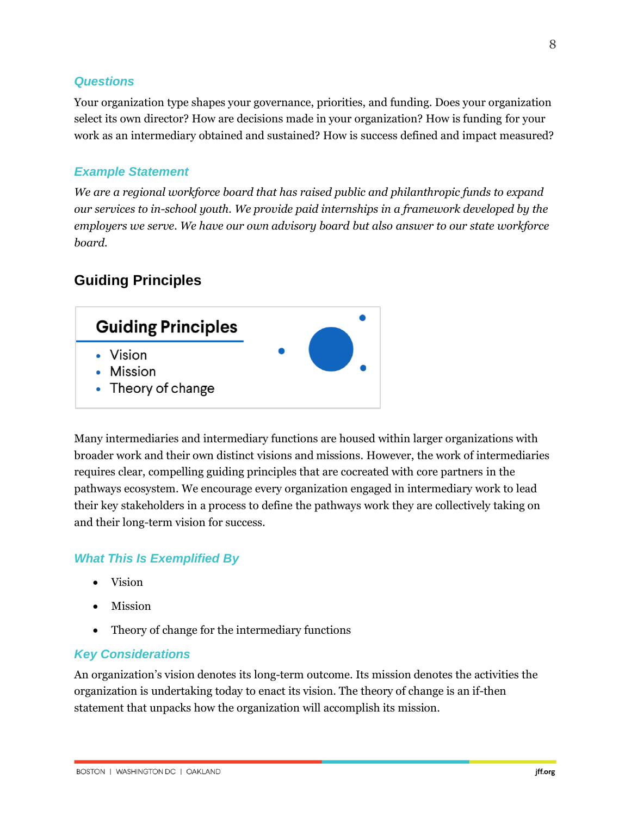#### *Questions*

Your organization type shapes your governance, priorities, and funding. Does your organization select its own director? How are decisions made in your organization? How is funding for your work as an intermediary obtained and sustained? How is success defined and impact measured?

#### *Example Statement*

*We are a regional workforce board that has raised public and philanthropic funds to expand our services to in-school youth. We provide paid internships in a framework developed by the employers we serve. We have our own advisory board but also answer to our state workforce board.*

#### <span id="page-10-0"></span>**Guiding Principles**



Many intermediaries and intermediary functions are housed within larger organizations with broader work and their own distinct visions and missions. However, the work of intermediaries requires clear, compelling guiding principles that are cocreated with core partners in the pathways ecosystem. We encourage every organization engaged in intermediary work to lead their key stakeholders in a process to define the pathways work they are collectively taking on and their long-term vision for success.

#### *What This Is Exemplified By*

- Vision
- Mission
- Theory of change for the intermediary functions

#### *Key Considerations*

An organization's vision denotes its long-term outcome. Its mission denotes the activities the organization is undertaking today to enact its vision. The theory of change is an if-then statement that unpacks how the organization will accomplish its mission.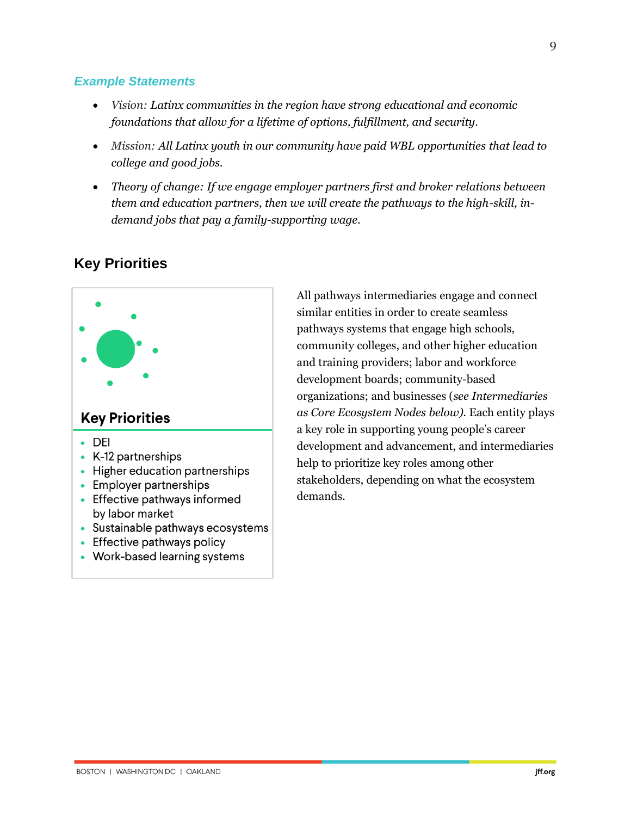#### *Example Statements*

- *Vision: Latinx communities in the region have strong educational and economic foundations that allow for a lifetime of options, fulfillment, and security.*
- *Mission: All Latinx youth in our community have paid WBL opportunities that lead to college and good jobs.*
- *Theory of change: If we engage employer partners first and broker relations between them and education partners, then we will create the pathways to the high-skill, indemand jobs that pay a family-supporting wage.*



#### <span id="page-11-0"></span>**Key Priorities**

All pathways intermediaries engage and connect similar entities in order to create seamless pathways systems that engage high schools, community colleges, and other higher education and training providers; labor and workforce development boards; community-based organizations; and businesses (*see Intermediaries as Core Ecosystem Nodes below).* Each entity plays a key role in supporting young people's career development and advancement, and intermediaries help to prioritize key roles among other stakeholders, depending on what the ecosystem demands.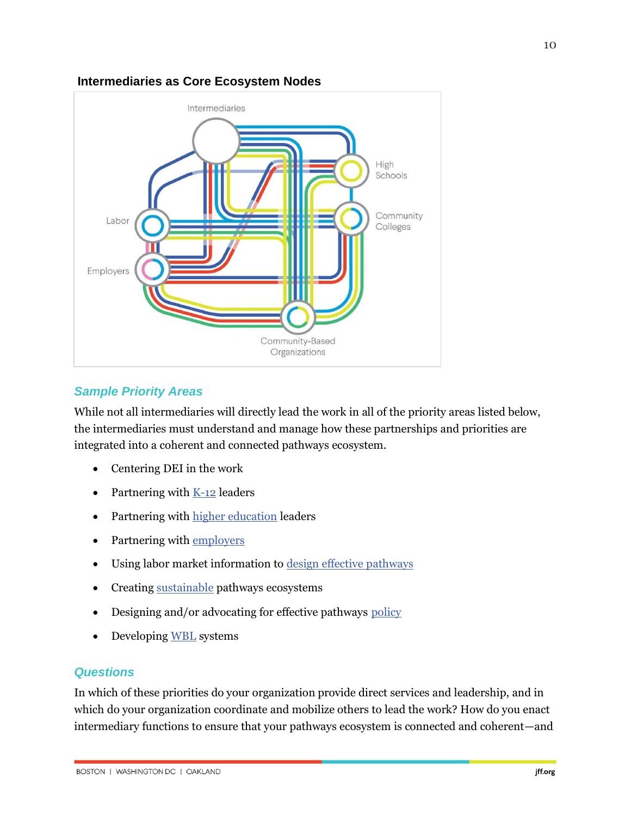#### **Intermediaries as Core Ecosystem Nodes**



#### *Sample Priority Areas*

While not all intermediaries will directly lead the work in all of the priority areas listed below, the intermediaries must understand and manage how these partnerships and priorities are integrated into a coherent and connected pathways ecosystem.

- Centering DEI in the work
- Partnering with [K-12](https://www.jff.org/resources/equitable-pathways-hypotheses-spotlights/k12-partnerships/?utm_source=JFF&utm_medium=Resource&utm_campaign=BEP) leaders
- Partnering with [higher education](https://www.jff.org/resources/equitable-pathways-hypotheses-spotlights/postsecondary-partnerships?utm_source=JFF&utm_medium=Resource&utm_campaign=BEP) leaders
- Partnering with [employers](https://www.jff.org/resources/equitable-pathways-hypotheses-spotlights/employer-partnerships?utm_source=JFF&utm_medium=Resource&utm_campaign=BEP)
- Using labor market information to [design effective](https://www.jff.org/resources/equitable-pathways-hypotheses-spotlights/labor-market?utm_source=JFF&utm_medium=Resource&utm_campaign=BEP) pathways
- Creating [sustainable](https://www.jff.org/resources/equitable-pathways-hypotheses-spotlights/sustainability?utm_source=JFF&utm_medium=Resource&utm_campaign=BEP) pathways ecosystems
- Designing and/or advocating for effective pathways [policy](https://www.jff.org/resources/equitable-pathways-hypotheses-spotlights/policy?utm_source=JFF&utm_medium=Resource&utm_campaign=BEP)
- Developin[g WBL](https://www.jff.org/what-we-do/impact-stories/center-for-apprenticeship-and-work-based-learning/about-work-based-learning/) systems

#### *Questions*

In which of these priorities do your organization provide direct services and leadership, and in which do your organization coordinate and mobilize others to lead the work? How do you enact intermediary functions to ensure that your pathways ecosystem is connected and coherent—and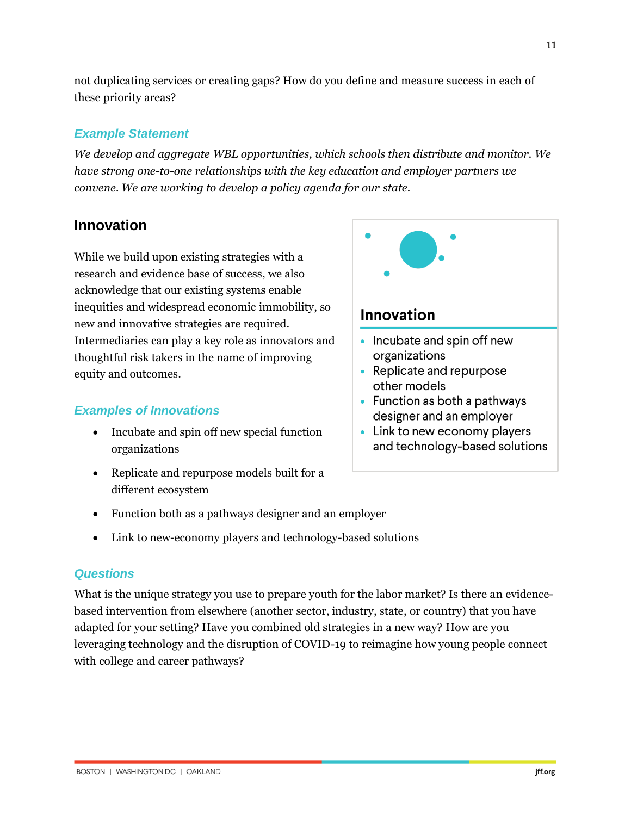11

not duplicating services or creating gaps? How do you define and measure success in each of these priority areas?

#### *Example Statement*

*We develop and aggregate WBL opportunities, which schools then distribute and monitor. We have strong one-to-one relationships with the key education and employer partners we convene. We are working to develop a policy agenda for our state.* 

#### <span id="page-13-0"></span>**Innovation**

While we build upon existing strategies with a research and evidence base of success, we also acknowledge that our existing systems enable inequities and widespread economic immobility, so new and innovative strategies are required. Intermediaries can play a key role as innovators and thoughtful risk takers in the name of improving equity and outcomes.

#### *Examples of Innovations*

- Incubate and spin off new special function organizations
- Replicate and repurpose models built for a different ecosystem
- Innovation • Incubate and spin off new organizations • Replicate and repurpose
- other models
- Function as both a pathways designer and an employer
- Link to new economy players and technology-based solutions
- Function both as a pathways designer and an employer
- Link to new-economy players and technology-based solutions

#### *Questions*

What is the unique strategy you use to prepare youth for the labor market? Is there an evidencebased intervention from elsewhere (another sector, industry, state, or country) that you have adapted for your setting? Have you combined old strategies in a new way? How are you leveraging technology and the disruption of COVID-19 to reimagine how young people connect with college and career pathways?